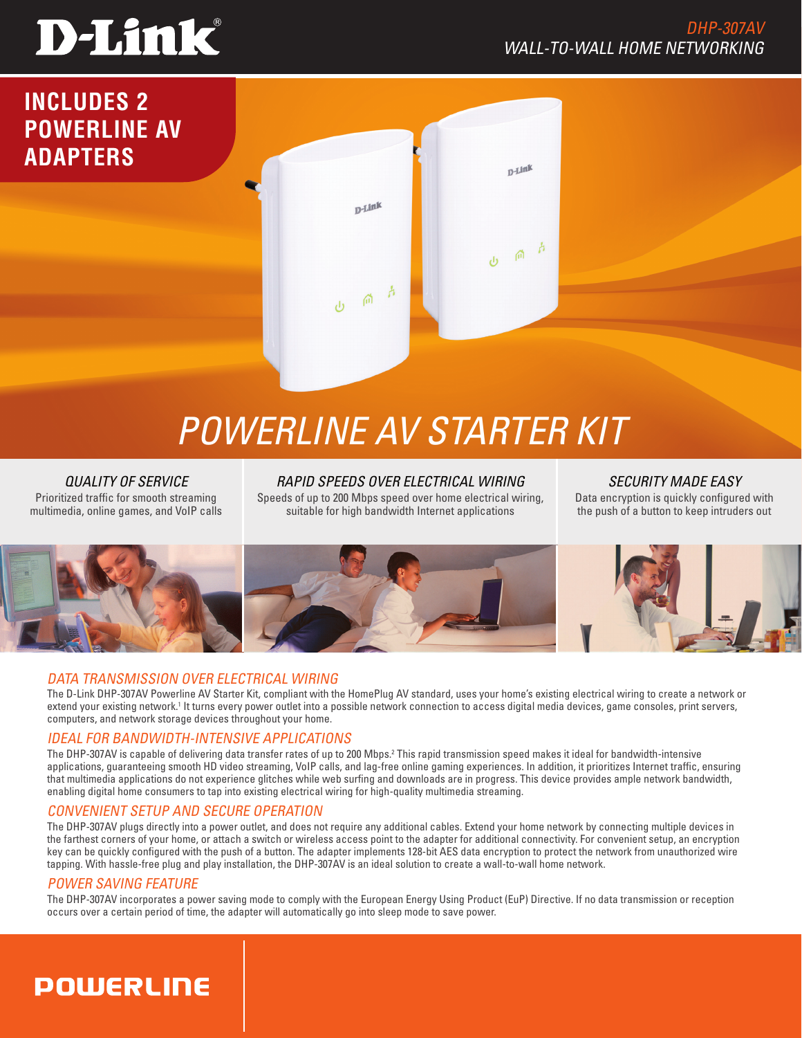# **D-Link**

## DHP-307AV WALL-TO-WALL HOME NETWORKING



## *Powerline AV Starter Kit*

*QUALITY OF SERVICE* Prioritized traffic for smooth streaming multimedia, online games, and VoIP calls

*RAPID Speeds OVER ELECTRICAL Wiring* Speeds of up to 200 Mbps speed over home electrical wiring, suitable for high bandwidth Internet applications

*SECURITY MADE EASY* Data encryption is quickly configured with the push of a button to keep intruders out



## DATA TRANSMISSION OVER ELECTRICAL Wiring

The D-Link DHP-307AV Powerline AV Starter Kit, compliant with the HomePlug AV standard, uses your home's existing electrical wiring to create a network or extend your existing network.<sup>1</sup> It turns every power outlet into a possible network connection to access digital media devices, game consoles, print servers, computers, and network storage devices throughout your home.

## IDEAL FOR BANDWIDTH-INTENSIVE APPLICATIONS

The DHP-307AV is capable of delivering data transfer rates of up to 200 Mbps.<sup>2</sup> This rapid transmission speed makes it ideal for bandwidth-intensive applications, guaranteeing smooth HD video streaming, VoIP calls, and lag-free online gaming experiences. In addition, it prioritizes Internet traffic, ensuring that multimedia applications do not experience glitches while web surfing and downloads are in progress. This device provides ample network bandwidth, enabling digital home consumers to tap into existing electrical wiring for high-quality multimedia streaming.

## CONVENIENT setup AND SECURE OPERATION

The DHP-307AV plugs directly into a power outlet, and does not require any additional cables. Extend your home network by connecting multiple devices in the farthest corners of your home, or attach a switch or wireless access point to the adapter for additional connectivity. For convenient setup, an encryption key can be quickly configured with the push of a button. The adapter implements 128-bit AES data encryption to protect the network from unauthorized wire tapping. With hassle-free plug and play installation, the DHP-307AV is an ideal solution to create a wall-to-wall home network.

## POWER SAVING FEATURE

The DHP-307AV incorporates a power saving mode to comply with the European Energy Using Product (EuP) Directive. If no data transmission or reception occurs over a certain period of time, the adapter will automatically go into sleep mode to save power.

## **POWERLINE**